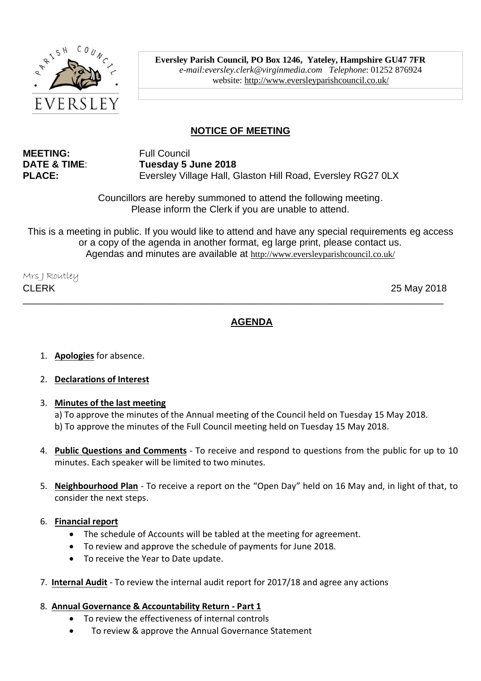

**Eversley Parish Council, PO Box 1246, Yateley, Hampshire GU47 7FR**  *e-mail:eversley.clerk@virginmedia.com Telephone*: 01252 876924 website:<http://www.eversleyparishcouncil.co.uk/>

# **NOTICE OF MEETING**

**MEETING:** Full Council

**DATE & TIME**: **Tuesday 5 June 2018** PLACE: Eversley Village Hall, Glaston Hill Road, Eversley RG27 0LX

> Councillors are hereby summoned to attend the following meeting. Please inform the Clerk if you are unable to attend.

This is a meeting in public. If you would like to attend and have any special requirements eg access or a copy of the agenda in another format, eg large print, please contact us. Agendas and minutes are available at <http://www.eversleyparishcouncil.co.uk/>

\_\_\_\_\_\_\_\_\_\_\_\_\_\_\_\_\_\_\_\_\_\_\_\_\_\_\_\_\_\_\_\_\_\_\_\_\_\_\_\_\_\_\_\_\_\_\_\_\_\_\_\_\_\_\_\_\_\_\_\_\_\_\_\_\_\_\_\_\_\_\_\_\_\_\_\_\_\_

Mrs J Routley CLERK 25 May 2018

## **AGENDA**

- 1. **Apologies** for absence.
- 2. **Declarations of Interest**
- 3. **Minutes of the last meeting**

a) To approve the minutes of the Annual meeting of the Council held on Tuesday 15 May 2018. b) To approve the minutes of the Full Council meeting held on Tuesday 15 May 2018.

- 4. **Public Questions and Comments** To receive and respond to questions from the public for up to 10 minutes. Each speaker will be limited to two minutes.
- 5. **Neighbourhood Plan** To receive a report on the "Open Day" held on 16 May and, in light of that, to consider the next steps.
- 6. **Financial report**
	- The schedule of Accounts will be tabled at the meeting for agreement.
	- To review and approve the schedule of payments for June 2018.
	- To receive the Year to Date update.
- 7. **Internal Audit** To review the internal audit report for 2017/18 and agree any actions

#### 8. **Annual Governance & Accountability Return - Part 1**

- To review the effectiveness of internal controls
- To review & approve the Annual Governance Statement